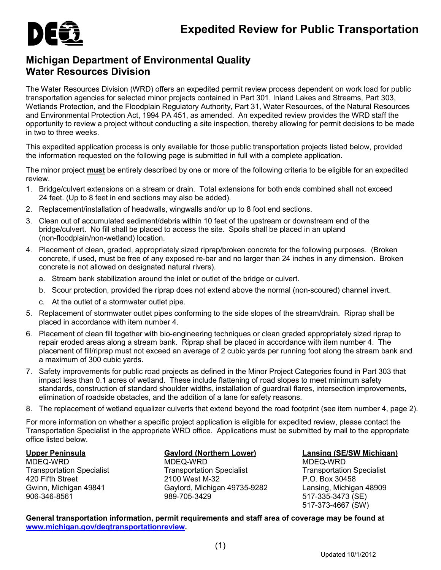

## **Michigan Department of Environmental Quality Water Resources Division**

The Water Resources Division (WRD) offers an expedited permit review process dependent on work load for public transportation agencies for selected minor projects contained in Part 301, Inland Lakes and Streams, Part 303, Wetlands Protection, and the Floodplain Regulatory Authority, Part 31, Water Resources, of the Natural Resources and Environmental Protection Act, 1994 PA 451, as amended. An expedited review provides the WRD staff the opportunity to review a project without conducting a site inspection, thereby allowing for permit decisions to be made in two to three weeks.

This expedited application process is only available for those public transportation projects listed below, provided the information requested on the following page is submitted in full with a complete application.

The minor project **must** be entirely described by one or more of the following criteria to be eligible for an expedited review.

- 1. Bridge/culvert extensions on a stream or drain. Total extensions for both ends combined shall not exceed 24 feet. (Up to 8 feet in end sections may also be added).
- 2. Replacement/installation of headwalls, wingwalls and/or up to 8 foot end sections.
- 3. Clean out of accumulated sediment/debris within 10 feet of the upstream or downstream end of the bridge/culvert. No fill shall be placed to access the site. Spoils shall be placed in an upland (non-floodplain/non-wetland) location.
- 4. Placement of clean, graded, appropriately sized riprap/broken concrete for the following purposes. (Broken concrete, if used, must be free of any exposed re-bar and no larger than 24 inches in any dimension. Broken concrete is not allowed on designated natural rivers).
	- a. Stream bank stabilization around the inlet or outlet of the bridge or culvert.
	- b. Scour protection, provided the riprap does not extend above the normal (non-scoured) channel invert.
	- c. At the outlet of a stormwater outlet pipe.
- 5. Replacement of stormwater outlet pipes conforming to the side slopes of the stream/drain. Riprap shall be placed in accordance with item number 4.
- 6. Placement of clean fill together with bio-engineering techniques or clean graded appropriately sized riprap to repair eroded areas along a stream bank. Riprap shall be placed in accordance with item number 4. The placement of fill/riprap must not exceed an average of 2 cubic yards per running foot along the stream bank and a maximum of 300 cubic yards.
- 7. Safety improvements for public road projects as defined in the Minor Project Categories found in Part 303 that impact less than 0.1 acres of wetland. These include flattening of road slopes to meet minimum safety standards, construction of standard shoulder widths, installation of guardrail flares, intersection improvements, elimination of roadside obstacles, and the addition of a lane for safety reasons.
- 8. The replacement of wetland equalizer culverts that extend beyond the road footprint (see item number 4, page 2).

For more information on whether a specific project application is eligible for expedited review, please contact the Transportation Specialist in the appropriate WRD office. Applications must be submitted by mail to the appropriate office listed below.

**Upper Peninsula** MDEQ-WRD Transportation Specialist 420 Fifth Street Gwinn, Michigan 49841 906-346-8561

**Gaylord (Northern Lower)**

MDEQ-WRD Transportation Specialist 2100 West M-32 Gaylord, Michigan 49735-9282 989-705-3429

**Lansing (SE/SW Michigan)**

MDEQ-WRD Transportation Specialist P.O. Box 30458 Lansing, Michigan 48909 517-335-3473 (SE) 517-373-4667 (SW)

**General transportation information, permit requirements and staff area of coverage may be found at [www.michigan.gov/deqtransportationreview.](http://www.michigan.gov/deqtransportationreview)**